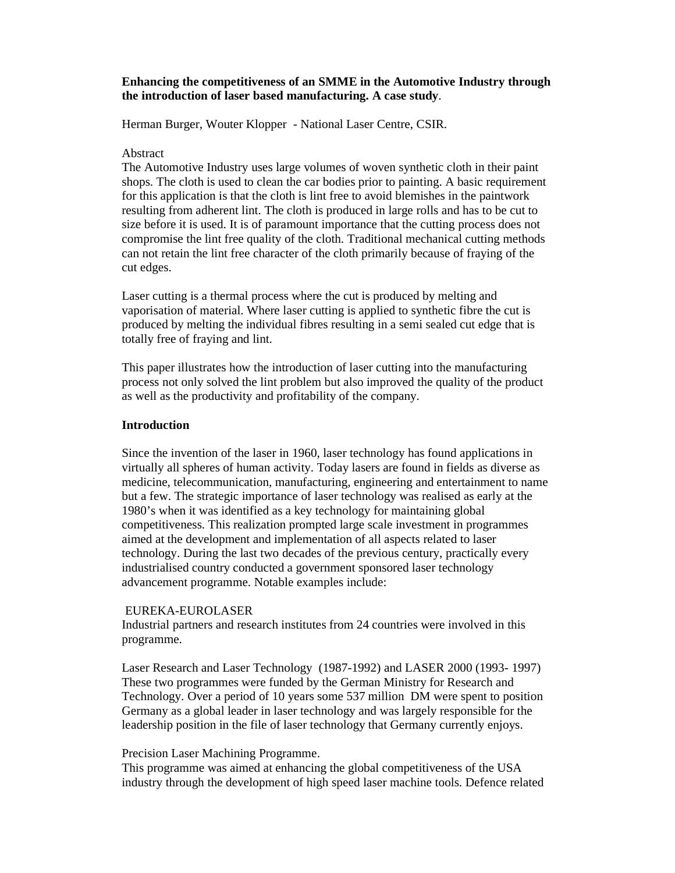## **Enhancing the competitiveness of an SMME in the Automotive Industry through the introduction of laser based manufacturing. A case study**.

Herman Burger, Wouter Klopper - National Laser Centre, CSIR.

## Abstract

The Automotive Industry uses large volumes of woven synthetic cloth in their paint shops. The cloth is used to clean the car bodies prior to painting. A basic requirement for this application is that the cloth is lint free to avoid blemishes in the paintwork resulting from adherent lint. The cloth is produced in large rolls and has to be cut to size before it is used. It is of paramount importance that the cutting process does not compromise the lint free quality of the cloth. Traditional mechanical cutting methods can not retain the lint free character of the cloth primarily because of fraying of the cut edges.

Laser cutting is a thermal process where the cut is produced by melting and vaporisation of material. Where laser cutting is applied to synthetic fibre the cut is produced by melting the individual fibres resulting in a semi sealed cut edge that is totally free of fraying and lint.

This paper illustrates how the introduction of laser cutting into the manufacturing process not only solved the lint problem but also improved the quality of the product as well as the productivity and profitability of the company.

## **Introduction**

Since the invention of the laser in 1960, laser technology has found applications in virtually all spheres of human activity. Today lasers are found in fields as diverse as medicine, telecommunication, manufacturing, engineering and entertainment to name but a few. The strategic importance of laser technology was realised as early at the 1980's when it was identified as a key technology for maintaining global competitiveness. This realization prompted large scale investment in programmes aimed at the development and implementation of all aspects related to laser technology. During the last two decades of the previous century, practically every industrialised country conducted a government sponsored laser technology advancement programme. Notable examples include:

#### EUREKA-EUROLASER

Industrial partners and research institutes from 24 countries were involved in this programme.

Laser Research and Laser Technology (1987-1992) and LASER 2000 (1993- 1997) These two programmes were funded by the German Ministry for Research and Technology. Over a period of 10 years some 537 million DM were spent to position Germany as a global leader in laser technology and was largely responsible for the leadership position in the file of laser technology that Germany currently enjoys.

#### Precision Laser Machining Programme.

This programme was aimed at enhancing the global competitiveness of the USA industry through the development of high speed laser machine tools. Defence related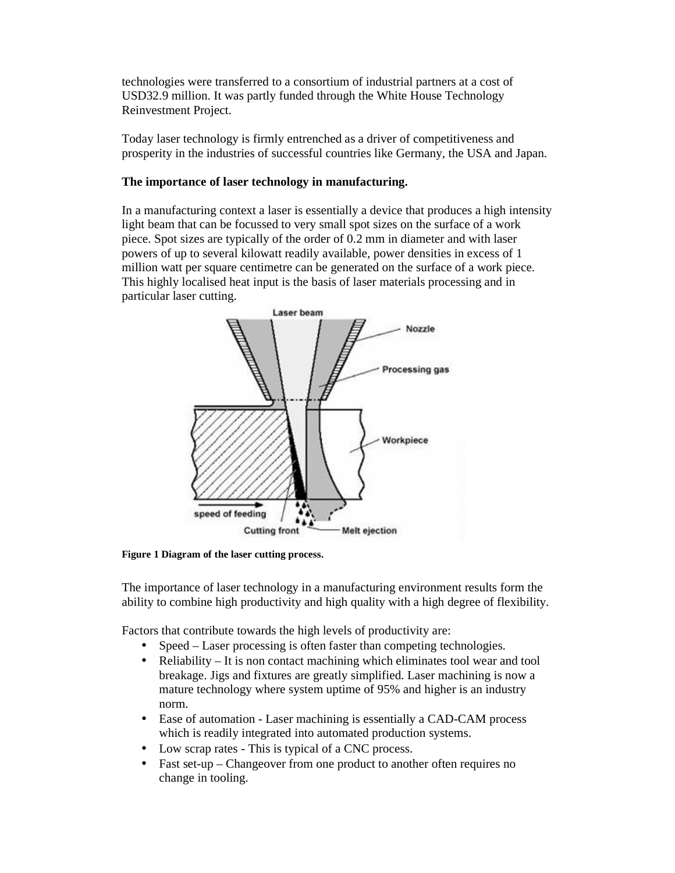technologies were transferred to a consortium of industrial partners at a cost of USD32.9 million. It was partly funded through the White House Technology Reinvestment Project.

Today laser technology is firmly entrenched as a driver of competitiveness and prosperity in the industries of successful countries like Germany, the USA and Japan.

# **The importance of laser technology in manufacturing.**

In a manufacturing context a laser is essentially a device that produces a high intensity light beam that can be focussed to very small spot sizes on the surface of a work piece. Spot sizes are typically of the order of 0.2 mm in diameter and with laser powers of up to several kilowatt readily available, power densities in excess of 1 million watt per square centimetre can be generated on the surface of a work piece. This highly localised heat input is the basis of laser materials processing and in particular laser cutting.



**Figure 1 Diagram of the laser cutting process.** 

The importance of laser technology in a manufacturing environment results form the ability to combine high productivity and high quality with a high degree of flexibility.

Factors that contribute towards the high levels of productivity are:

- Speed Laser processing is often faster than competing technologies.
- Reliability It is non contact machining which eliminates tool wear and tool breakage. Jigs and fixtures are greatly simplified. Laser machining is now a mature technology where system uptime of 95% and higher is an industry norm.
- Ease of automation Laser machining is essentially a CAD-CAM process which is readily integrated into automated production systems.
- Low scrap rates This is typical of a CNC process.
- Fast set-up Changeover from one product to another often requires no change in tooling.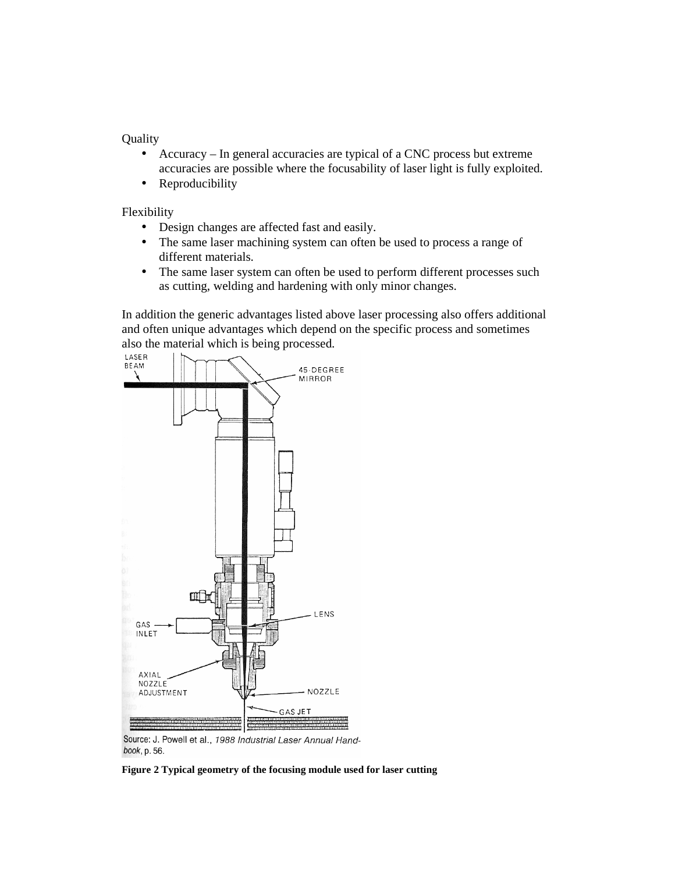Quality

- Accuracy In general accuracies are typical of a CNC process but extreme accuracies are possible where the focusability of laser light is fully exploited.
- Reproducibility

Flexibility

- Design changes are affected fast and easily.
- The same laser machining system can often be used to process a range of different materials.
- The same laser system can often be used to perform different processes such as cutting, welding and hardening with only minor changes.

In addition the generic advantages listed above laser processing also offers additional and often unique advantages which depend on the specific process and sometimes



Source: J. Powell et al., 1988 Industrial Laser Annual Handbook, p. 56.

**Figure 2 Typical geometry of the focusing module used for laser cutting**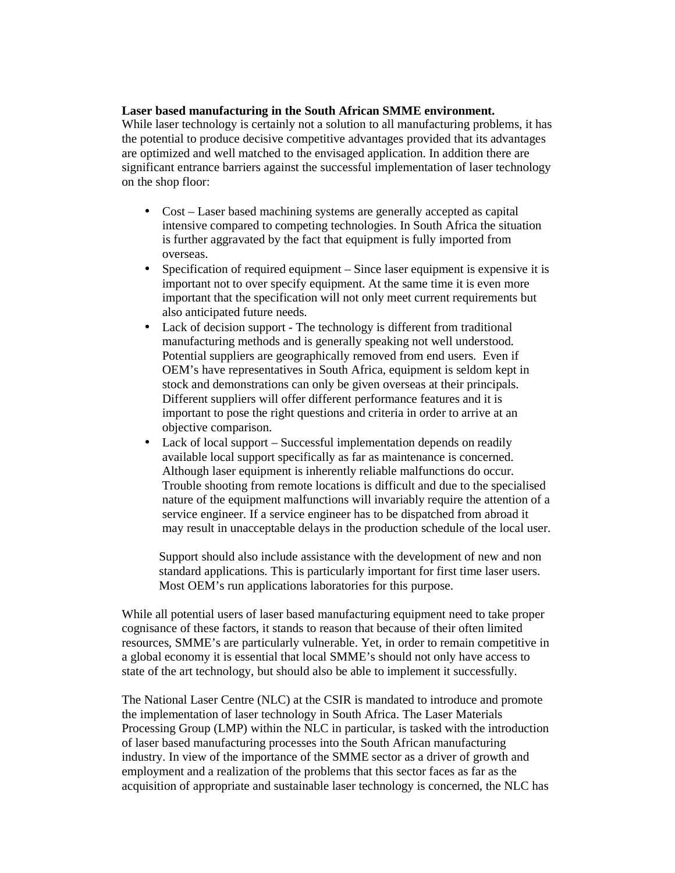## **Laser based manufacturing in the South African SMME environment.**

While laser technology is certainly not a solution to all manufacturing problems, it has the potential to produce decisive competitive advantages provided that its advantages are optimized and well matched to the envisaged application. In addition there are significant entrance barriers against the successful implementation of laser technology on the shop floor:

- Cost Laser based machining systems are generally accepted as capital intensive compared to competing technologies. In South Africa the situation is further aggravated by the fact that equipment is fully imported from overseas.
- Specification of required equipment Since laser equipment is expensive it is important not to over specify equipment. At the same time it is even more important that the specification will not only meet current requirements but also anticipated future needs.
- Lack of decision support The technology is different from traditional manufacturing methods and is generally speaking not well understood. Potential suppliers are geographically removed from end users. Even if OEM's have representatives in South Africa, equipment is seldom kept in stock and demonstrations can only be given overseas at their principals. Different suppliers will offer different performance features and it is important to pose the right questions and criteria in order to arrive at an objective comparison.
- Lack of local support Successful implementation depends on readily available local support specifically as far as maintenance is concerned. Although laser equipment is inherently reliable malfunctions do occur. Trouble shooting from remote locations is difficult and due to the specialised nature of the equipment malfunctions will invariably require the attention of a service engineer. If a service engineer has to be dispatched from abroad it may result in unacceptable delays in the production schedule of the local user.

Support should also include assistance with the development of new and non standard applications. This is particularly important for first time laser users. Most OEM's run applications laboratories for this purpose.

While all potential users of laser based manufacturing equipment need to take proper cognisance of these factors, it stands to reason that because of their often limited resources, SMME's are particularly vulnerable. Yet, in order to remain competitive in a global economy it is essential that local SMME's should not only have access to state of the art technology, but should also be able to implement it successfully.

The National Laser Centre (NLC) at the CSIR is mandated to introduce and promote the implementation of laser technology in South Africa. The Laser Materials Processing Group (LMP) within the NLC in particular, is tasked with the introduction of laser based manufacturing processes into the South African manufacturing industry. In view of the importance of the SMME sector as a driver of growth and employment and a realization of the problems that this sector faces as far as the acquisition of appropriate and sustainable laser technology is concerned, the NLC has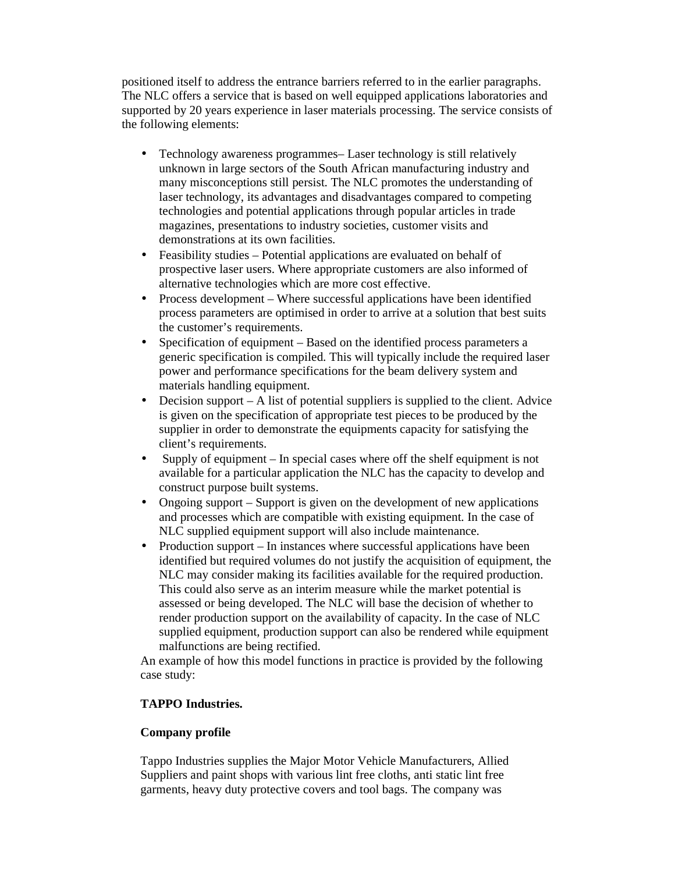positioned itself to address the entrance barriers referred to in the earlier paragraphs. The NLC offers a service that is based on well equipped applications laboratories and supported by 20 years experience in laser materials processing. The service consists of the following elements:

- Technology awareness programmes– Laser technology is still relatively unknown in large sectors of the South African manufacturing industry and many misconceptions still persist. The NLC promotes the understanding of laser technology, its advantages and disadvantages compared to competing technologies and potential applications through popular articles in trade magazines, presentations to industry societies, customer visits and demonstrations at its own facilities.
- Feasibility studies Potential applications are evaluated on behalf of prospective laser users. Where appropriate customers are also informed of alternative technologies which are more cost effective.
- Process development Where successful applications have been identified process parameters are optimised in order to arrive at a solution that best suits the customer's requirements.
- Specification of equipment Based on the identified process parameters a generic specification is compiled. This will typically include the required laser power and performance specifications for the beam delivery system and materials handling equipment.
- Decision support A list of potential suppliers is supplied to the client. Advice is given on the specification of appropriate test pieces to be produced by the supplier in order to demonstrate the equipments capacity for satisfying the client's requirements.
- Supply of equipment In special cases where off the shelf equipment is not available for a particular application the NLC has the capacity to develop and construct purpose built systems.
- Ongoing support Support is given on the development of new applications and processes which are compatible with existing equipment. In the case of NLC supplied equipment support will also include maintenance.
- Production support In instances where successful applications have been identified but required volumes do not justify the acquisition of equipment, the NLC may consider making its facilities available for the required production. This could also serve as an interim measure while the market potential is assessed or being developed. The NLC will base the decision of whether to render production support on the availability of capacity. In the case of NLC supplied equipment, production support can also be rendered while equipment malfunctions are being rectified.

An example of how this model functions in practice is provided by the following case study:

# **TAPPO Industries.**

# **Company profile**

Tappo Industries supplies the Major Motor Vehicle Manufacturers, Allied Suppliers and paint shops with various lint free cloths, anti static lint free garments, heavy duty protective covers and tool bags. The company was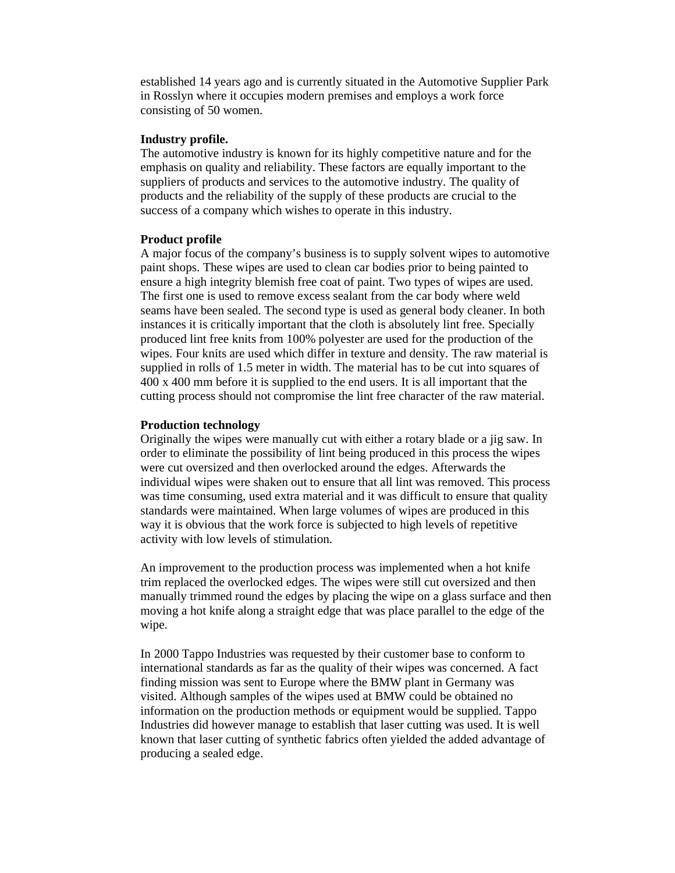established 14 years ago and is currently situated in the Automotive Supplier Park in Rosslyn where it occupies modern premises and employs a work force consisting of 50 women.

#### **Industry profile.**

The automotive industry is known for its highly competitive nature and for the emphasis on quality and reliability. These factors are equally important to the suppliers of products and services to the automotive industry. The quality of products and the reliability of the supply of these products are crucial to the success of a company which wishes to operate in this industry.

#### **Product profile**

A major focus of the company's business is to supply solvent wipes to automotive paint shops. These wipes are used to clean car bodies prior to being painted to ensure a high integrity blemish free coat of paint. Two types of wipes are used. The first one is used to remove excess sealant from the car body where weld seams have been sealed. The second type is used as general body cleaner. In both instances it is critically important that the cloth is absolutely lint free. Specially produced lint free knits from 100% polyester are used for the production of the wipes. Four knits are used which differ in texture and density. The raw material is supplied in rolls of 1.5 meter in width. The material has to be cut into squares of 400 x 400 mm before it is supplied to the end users. It is all important that the cutting process should not compromise the lint free character of the raw material.

#### **Production technology**

Originally the wipes were manually cut with either a rotary blade or a jig saw. In order to eliminate the possibility of lint being produced in this process the wipes were cut oversized and then overlocked around the edges. Afterwards the individual wipes were shaken out to ensure that all lint was removed. This process was time consuming, used extra material and it was difficult to ensure that quality standards were maintained. When large volumes of wipes are produced in this way it is obvious that the work force is subjected to high levels of repetitive activity with low levels of stimulation.

An improvement to the production process was implemented when a hot knife trim replaced the overlocked edges. The wipes were still cut oversized and then manually trimmed round the edges by placing the wipe on a glass surface and then moving a hot knife along a straight edge that was place parallel to the edge of the wipe.

In 2000 Tappo Industries was requested by their customer base to conform to international standards as far as the quality of their wipes was concerned. A fact finding mission was sent to Europe where the BMW plant in Germany was visited. Although samples of the wipes used at BMW could be obtained no information on the production methods or equipment would be supplied. Tappo Industries did however manage to establish that laser cutting was used. It is well known that laser cutting of synthetic fabrics often yielded the added advantage of producing a sealed edge.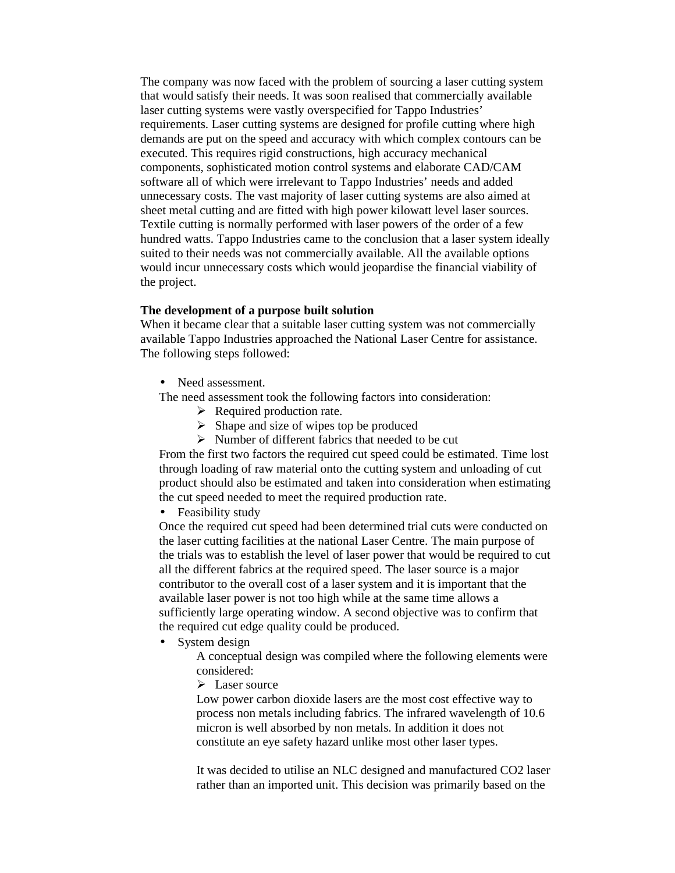The company was now faced with the problem of sourcing a laser cutting system that would satisfy their needs. It was soon realised that commercially available laser cutting systems were vastly overspecified for Tappo Industries' requirements. Laser cutting systems are designed for profile cutting where high demands are put on the speed and accuracy with which complex contours can be executed. This requires rigid constructions, high accuracy mechanical components, sophisticated motion control systems and elaborate CAD/CAM software all of which were irrelevant to Tappo Industries' needs and added unnecessary costs. The vast majority of laser cutting systems are also aimed at sheet metal cutting and are fitted with high power kilowatt level laser sources. Textile cutting is normally performed with laser powers of the order of a few hundred watts. Tappo Industries came to the conclusion that a laser system ideally suited to their needs was not commercially available. All the available options would incur unnecessary costs which would jeopardise the financial viability of the project.

### **The development of a purpose built solution**

When it became clear that a suitable laser cutting system was not commercially available Tappo Industries approached the National Laser Centre for assistance. The following steps followed:

- Need assessment.
- The need assessment took the following factors into consideration:
	- $\triangleright$  Required production rate.
	- $\triangleright$  Shape and size of wipes top be produced
	- $\triangleright$  Number of different fabrics that needed to be cut

From the first two factors the required cut speed could be estimated. Time lost through loading of raw material onto the cutting system and unloading of cut product should also be estimated and taken into consideration when estimating the cut speed needed to meet the required production rate.

• Feasibility study

Once the required cut speed had been determined trial cuts were conducted on the laser cutting facilities at the national Laser Centre. The main purpose of the trials was to establish the level of laser power that would be required to cut all the different fabrics at the required speed. The laser source is a major contributor to the overall cost of a laser system and it is important that the available laser power is not too high while at the same time allows a sufficiently large operating window. A second objective was to confirm that the required cut edge quality could be produced.

• System design

A conceptual design was compiled where the following elements were considered:

 $\triangleright$  Laser source

Low power carbon dioxide lasers are the most cost effective way to process non metals including fabrics. The infrared wavelength of 10.6 micron is well absorbed by non metals. In addition it does not constitute an eye safety hazard unlike most other laser types.

It was decided to utilise an NLC designed and manufactured CO2 laser rather than an imported unit. This decision was primarily based on the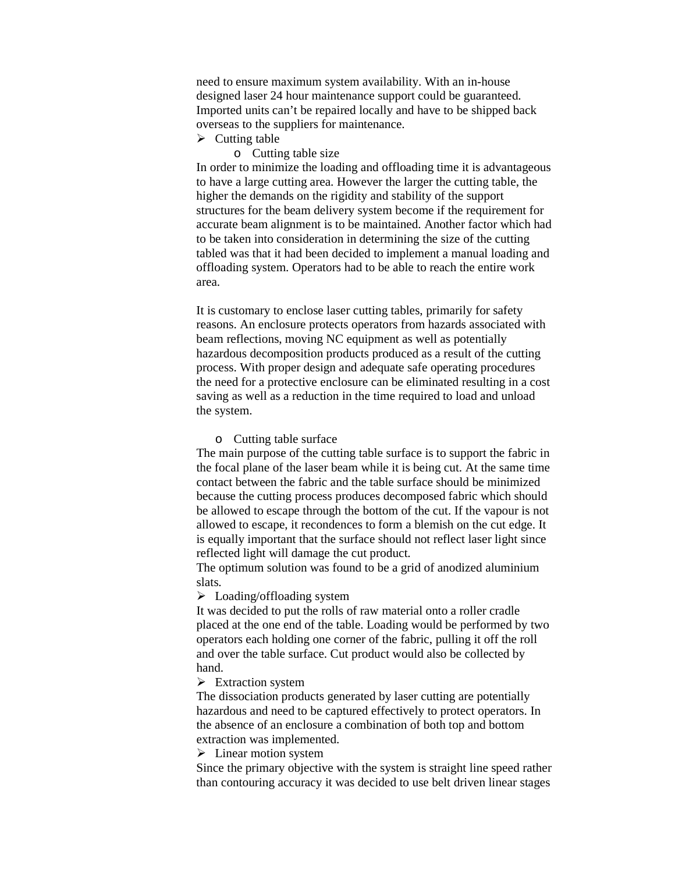need to ensure maximum system availability. With an in-house designed laser 24 hour maintenance support could be guaranteed. Imported units can't be repaired locally and have to be shipped back overseas to the suppliers for maintenance.

- $\triangleright$  Cutting table
	- o Cutting table size

In order to minimize the loading and offloading time it is advantageous to have a large cutting area. However the larger the cutting table, the higher the demands on the rigidity and stability of the support structures for the beam delivery system become if the requirement for accurate beam alignment is to be maintained. Another factor which had to be taken into consideration in determining the size of the cutting tabled was that it had been decided to implement a manual loading and offloading system. Operators had to be able to reach the entire work area.

It is customary to enclose laser cutting tables, primarily for safety reasons. An enclosure protects operators from hazards associated with beam reflections, moving NC equipment as well as potentially hazardous decomposition products produced as a result of the cutting process. With proper design and adequate safe operating procedures the need for a protective enclosure can be eliminated resulting in a cost saving as well as a reduction in the time required to load and unload the system.

#### o Cutting table surface

The main purpose of the cutting table surface is to support the fabric in the focal plane of the laser beam while it is being cut. At the same time contact between the fabric and the table surface should be minimized because the cutting process produces decomposed fabric which should be allowed to escape through the bottom of the cut. If the vapour is not allowed to escape, it recondences to form a blemish on the cut edge. It is equally important that the surface should not reflect laser light since reflected light will damage the cut product.

The optimum solution was found to be a grid of anodized aluminium slats.

 $\triangleright$  Loading/offloading system

It was decided to put the rolls of raw material onto a roller cradle placed at the one end of the table. Loading would be performed by two operators each holding one corner of the fabric, pulling it off the roll and over the table surface. Cut product would also be collected by hand.

 $\triangleright$  Extraction system

The dissociation products generated by laser cutting are potentially hazardous and need to be captured effectively to protect operators. In the absence of an enclosure a combination of both top and bottom extraction was implemented.

 $\triangleright$  Linear motion system

Since the primary objective with the system is straight line speed rather than contouring accuracy it was decided to use belt driven linear stages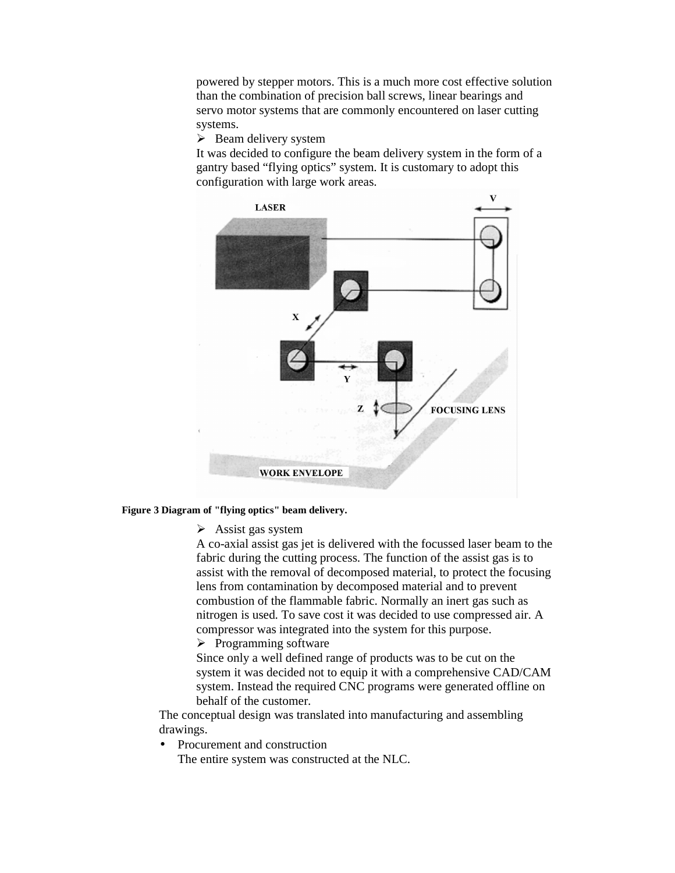powered by stepper motors. This is a much more cost effective solution than the combination of precision ball screws, linear bearings and servo motor systems that are commonly encountered on laser cutting systems.

 $\triangleright$  Beam delivery system

It was decided to configure the beam delivery system in the form of a gantry based "flying optics" system. It is customary to adopt this configuration with large work areas.



### **Figure 3 Diagram of "flying optics" beam delivery.**

 $\triangleright$  Assist gas system

A co-axial assist gas jet is delivered with the focussed laser beam to the fabric during the cutting process. The function of the assist gas is to assist with the removal of decomposed material, to protect the focusing lens from contamination by decomposed material and to prevent combustion of the flammable fabric. Normally an inert gas such as nitrogen is used. To save cost it was decided to use compressed air. A compressor was integrated into the system for this purpose.

 $\triangleright$  Programming software

Since only a well defined range of products was to be cut on the system it was decided not to equip it with a comprehensive CAD/CAM system. Instead the required CNC programs were generated offline on behalf of the customer.

The conceptual design was translated into manufacturing and assembling drawings.

• Procurement and construction

The entire system was constructed at the NLC.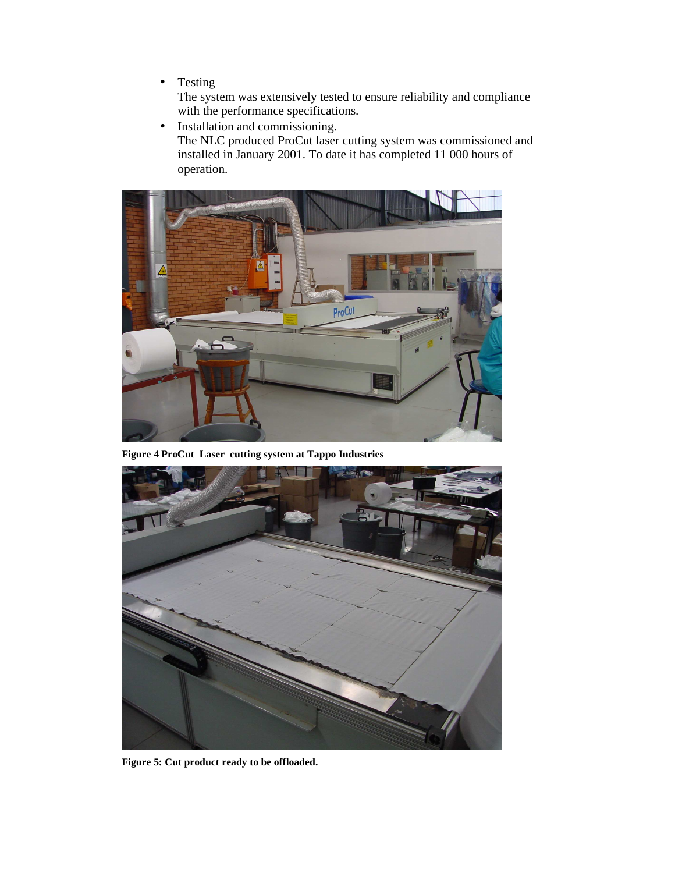• Testing

The system was extensively tested to ensure reliability and compliance with the performance specifications.

• Installation and commissioning. The NLC produced ProCut laser cutting system was commissioned and installed in January 2001. To date it has completed 11 000 hours of operation.



**Figure 4 ProCut Laser cutting system at Tappo Industries** 



**Figure 5: Cut product ready to be offloaded.**